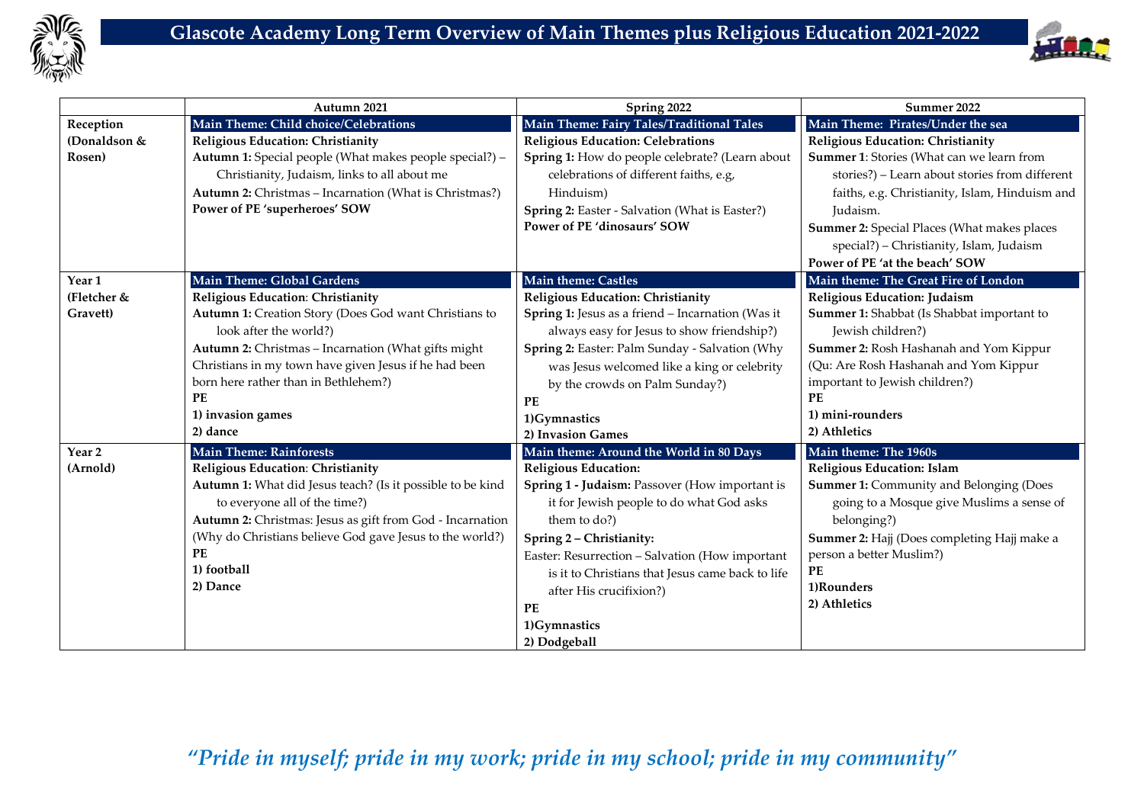



|                                              | Autumn 2021                                                                                                                                                                                                                                                                                                                                       | Spring 2022                                                                                                                                                                                                                                                                                                                                                                              | Summer 2022                                                                                                                                                                                                                                                                                                                                                      |
|----------------------------------------------|---------------------------------------------------------------------------------------------------------------------------------------------------------------------------------------------------------------------------------------------------------------------------------------------------------------------------------------------------|------------------------------------------------------------------------------------------------------------------------------------------------------------------------------------------------------------------------------------------------------------------------------------------------------------------------------------------------------------------------------------------|------------------------------------------------------------------------------------------------------------------------------------------------------------------------------------------------------------------------------------------------------------------------------------------------------------------------------------------------------------------|
| Reception<br>(Donaldson &<br>Rosen)          | Main Theme: Child choice/Celebrations<br>Religious Education: Christianity<br>Autumn 1: Special people (What makes people special?) -<br>Christianity, Judaism, links to all about me<br>Autumn 2: Christmas - Incarnation (What is Christmas?)<br>Power of PE 'superheroes' SOW                                                                  | Main Theme: Fairy Tales/Traditional Tales<br><b>Religious Education: Celebrations</b><br>Spring 1: How do people celebrate? (Learn about<br>celebrations of different faiths, e.g,<br>Hinduism)<br>Spring 2: Easter - Salvation (What is Easter?)<br>Power of PE 'dinosaurs' SOW                                                                                                         | Main Theme: Pirates/Under the sea<br>Religious Education: Christianity<br>Summer 1: Stories (What can we learn from<br>stories?) - Learn about stories from different<br>faiths, e.g. Christianity, Islam, Hinduism and<br>Judaism.<br>Summer 2: Special Places (What makes places<br>special?) - Christianity, Islam, Judaism<br>Power of PE 'at the beach' SOW |
| Year <sub>1</sub><br>(Fletcher &<br>Gravett) | Main Theme: Global Gardens<br>Religious Education: Christianity<br>Autumn 1: Creation Story (Does God want Christians to<br>look after the world?)<br>Autumn 2: Christmas - Incarnation (What gifts might<br>Christians in my town have given Jesus if he had been<br>born here rather than in Bethlehem?)<br>PE<br>1) invasion games<br>2) dance | Main theme: Castles<br>Religious Education: Christianity<br>Spring 1: Jesus as a friend - Incarnation (Was it<br>always easy for Jesus to show friendship?)<br>Spring 2: Easter: Palm Sunday - Salvation (Why<br>was Jesus welcomed like a king or celebrity<br>by the crowds on Palm Sunday?)<br>PE<br>1)Gymnastics<br>2) Invasion Games                                                | Main theme: The Great Fire of London<br>Religious Education: Judaism<br>Summer 1: Shabbat (Is Shabbat important to<br>Jewish children?)<br>Summer 2: Rosh Hashanah and Yom Kippur<br>(Qu: Are Rosh Hashanah and Yom Kippur<br>important to Jewish children?)<br><b>PF</b><br>1) mini-rounders<br>2) Athletics                                                    |
| Year <sub>2</sub><br>(Arnold)                | <b>Main Theme: Rainforests</b><br>Religious Education: Christianity<br>Autumn 1: What did Jesus teach? (Is it possible to be kind<br>to everyone all of the time?)<br>Autumn 2: Christmas: Jesus as gift from God - Incarnation<br>(Why do Christians believe God gave Jesus to the world?)<br><b>PE</b><br>1) football<br>2) Dance               | Main theme: Around the World in 80 Days<br><b>Religious Education:</b><br>Spring 1 - Judaism: Passover (How important is<br>it for Jewish people to do what God asks<br>them to do?)<br>Spring 2 - Christianity:<br>Easter: Resurrection - Salvation (How important<br>is it to Christians that Jesus came back to life<br>after His crucifixion?)<br>PE<br>1)Gymnastics<br>2) Dodgeball | Main theme: The 1960s<br>Religious Education: Islam<br><b>Summer 1: Community and Belonging (Does</b><br>going to a Mosque give Muslims a sense of<br>belonging?)<br>Summer 2: Hajj (Does completing Hajj make a<br>person a better Muslim?)<br>PE<br>1)Rounders<br>2) Athletics                                                                                 |

## *"Pride in myself; pride in my work; pride in my school; pride in my community"*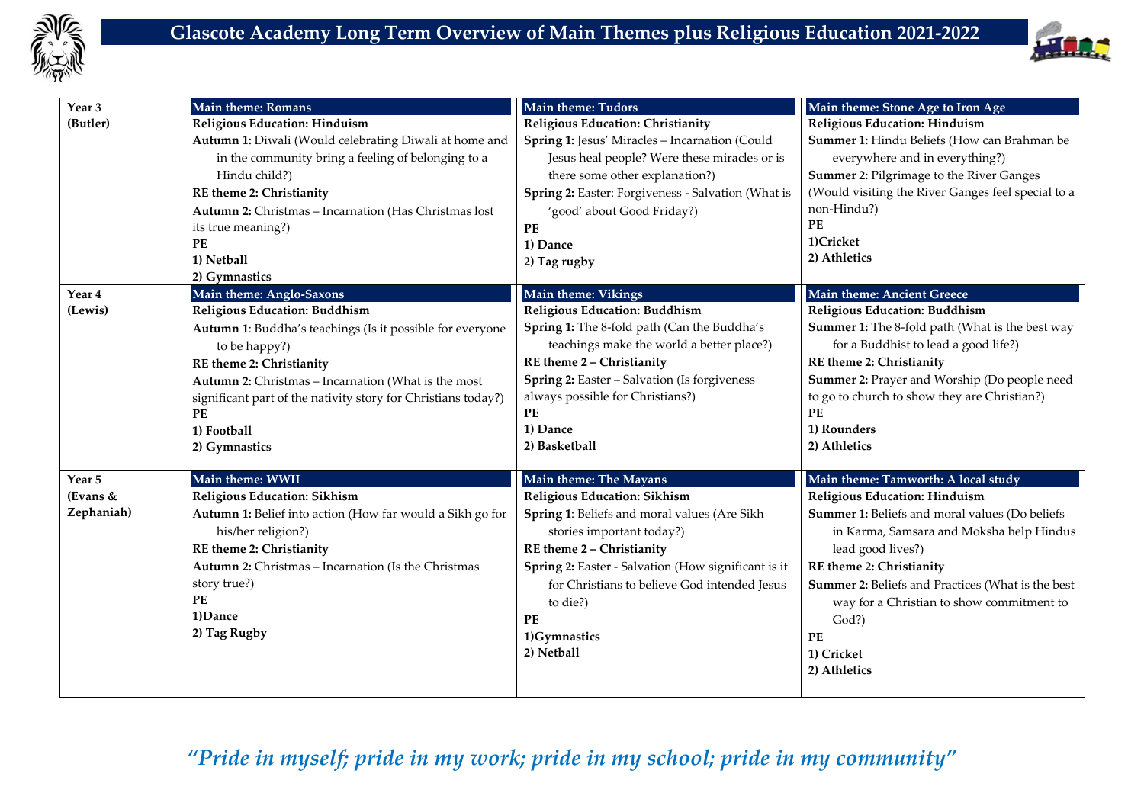



| Year <sub>3</sub>                  | <b>Main theme: Romans</b>                                                                                                                                                                                                                                                                                                                    | <b>Main theme: Tudors</b>                                                                                                                                                                                                                                                                                                      | Main theme: Stone Age to Iron Age                                                                                                                                                                                                                                                                                                                                  |
|------------------------------------|----------------------------------------------------------------------------------------------------------------------------------------------------------------------------------------------------------------------------------------------------------------------------------------------------------------------------------------------|--------------------------------------------------------------------------------------------------------------------------------------------------------------------------------------------------------------------------------------------------------------------------------------------------------------------------------|--------------------------------------------------------------------------------------------------------------------------------------------------------------------------------------------------------------------------------------------------------------------------------------------------------------------------------------------------------------------|
| (Butler)                           | <b>Religious Education: Hinduism</b><br>Autumn 1: Diwali (Would celebrating Diwali at home and<br>in the community bring a feeling of belonging to a<br>Hindu child?)<br>RE theme 2: Christianity<br>Autumn 2: Christmas - Incarnation (Has Christmas lost<br>its true meaning?)<br>PE<br>1) Netball<br>2) Gymnastics                        | Religious Education: Christianity<br>Spring 1: Jesus' Miracles - Incarnation (Could<br>Jesus heal people? Were these miracles or is<br>there some other explanation?)<br>Spring 2: Easter: Forgiveness - Salvation (What is<br>'good' about Good Friday?)<br>$\mathbf{PE}$<br>1) Dance<br>2) Tag rugby                         | <b>Religious Education: Hinduism</b><br>Summer 1: Hindu Beliefs (How can Brahman be<br>everywhere and in everything?)<br>Summer 2: Pilgrimage to the River Ganges<br>(Would visiting the River Ganges feel special to a<br>non-Hindu?)<br>PE<br>1)Cricket<br>2) Athletics                                                                                          |
| Year 4<br>(Lewis)                  | Main theme: Anglo-Saxons<br>Religious Education: Buddhism<br>Autumn 1: Buddha's teachings (Is it possible for everyone<br>to be happy?)<br>RE theme 2: Christianity<br>Autumn 2: Christmas - Incarnation (What is the most<br>significant part of the nativity story for Christians today?)<br>$\mathbf{PE}$<br>1) Football<br>2) Gymnastics | Main theme: Vikings<br><b>Religious Education: Buddhism</b><br>Spring 1: The 8-fold path (Can the Buddha's<br>teachings make the world a better place?)<br>RE theme 2 - Christianity<br>Spring 2: Easter - Salvation (Is forgiveness<br>always possible for Christians?)<br><b>PE</b><br>1) Dance<br>2) Basketball             | Main theme: Ancient Greece<br>Religious Education: Buddhism<br>Summer 1: The 8-fold path (What is the best way<br>for a Buddhist to lead a good life?)<br>RE theme 2: Christianity<br>Summer 2: Prayer and Worship (Do people need<br>to go to church to show they are Christian?)<br>PE<br>1) Rounders<br>2) Athletics                                            |
| Year 5<br>(Evans $&$<br>Zephaniah) | Main theme: WWII<br><b>Religious Education: Sikhism</b><br>Autumn 1: Belief into action (How far would a Sikh go for<br>his/her religion?)<br>RE theme 2: Christianity<br>Autumn 2: Christmas - Incarnation (Is the Christmas<br>story true?)<br>PE<br>1)Dance<br>2) Tag Rugby                                                               | Main theme: The Mayans<br><b>Religious Education: Sikhism</b><br>Spring 1: Beliefs and moral values (Are Sikh<br>stories important today?)<br>RE theme 2 - Christianity<br>Spring 2: Easter - Salvation (How significant is it<br>for Christians to believe God intended Jesus<br>to die?)<br>PE<br>1)Gymnastics<br>2) Netball | Main theme: Tamworth: A local study<br>Religious Education: Hinduism<br>Summer 1: Beliefs and moral values (Do beliefs<br>in Karma, Samsara and Moksha help Hindus<br>lead good lives?)<br>RE theme 2: Christianity<br>Summer 2: Beliefs and Practices (What is the best<br>way for a Christian to show commitment to<br>God?)<br>PE<br>1) Cricket<br>2) Athletics |

*"Pride in myself; pride in my work; pride in my school; pride in my community"*